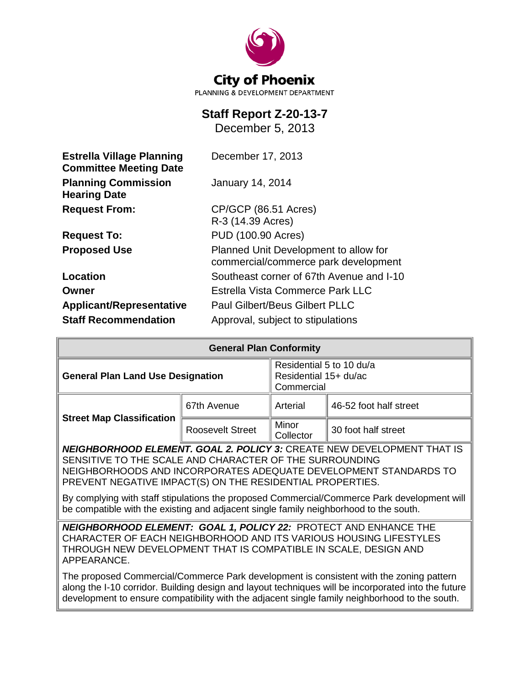

# **Staff Report Z-20-13-7**

December 5, 2013

| <b>Estrella Village Planning</b><br><b>Committee Meeting Date</b> | December 17, 2013                                                             |  |  |
|-------------------------------------------------------------------|-------------------------------------------------------------------------------|--|--|
| <b>Planning Commission</b><br><b>Hearing Date</b>                 | January 14, 2014                                                              |  |  |
| <b>Request From:</b>                                              | CP/GCP (86.51 Acres)<br>R-3 (14.39 Acres)                                     |  |  |
| <b>Request To:</b>                                                | PUD (100.90 Acres)                                                            |  |  |
| <b>Proposed Use</b>                                               | Planned Unit Development to allow for<br>commercial/commerce park development |  |  |
| Location                                                          | Southeast corner of 67th Avenue and I-10                                      |  |  |
| Owner                                                             | Estrella Vista Commerce Park LLC                                              |  |  |
| <b>Applicant/Representative</b>                                   | <b>Paul Gilbert/Beus Gilbert PLLC</b>                                         |  |  |
| <b>Staff Recommendation</b>                                       | Approval, subject to stipulations                                             |  |  |

| <b>General Plan Conformity</b>                                                                                                    |                         |                                                                 |                        |  |
|-----------------------------------------------------------------------------------------------------------------------------------|-------------------------|-----------------------------------------------------------------|------------------------|--|
| <b>General Plan Land Use Designation</b>                                                                                          |                         | Residential 5 to 10 du/a<br>Residential 15+ du/ac<br>Commercial |                        |  |
|                                                                                                                                   | 67th Avenue             | Arterial                                                        | 46-52 foot half street |  |
| <b>Street Map Classification</b>                                                                                                  | <b>Roosevelt Street</b> | Minor<br>Collector                                              | 30 foot half street    |  |
| NEIGHBORHOOD ELEMENT. GOAL 2. POLICY 3: CREATE NEW DEVELOPMENT THAT IS<br>CENCITIVE TO THE COALE AND CHADACTED OF THE CHODOHNDING |                         |                                                                 |                        |  |

SENSITIVE TO THE SCALE AND CHARACTER OF THE SURROUNDING NEIGHBORHOODS AND INCORPORATES ADEQUATE DEVELOPMENT STANDARDS TO PREVENT NEGATIVE IMPACT(S) ON THE RESIDENTIAL PROPERTIES.

By complying with staff stipulations the proposed Commercial/Commerce Park development will be compatible with the existing and adjacent single family neighborhood to the south.

*NEIGHBORHOOD ELEMENT: GOAL 1, POLICY 22:*PROTECT AND ENHANCE THE CHARACTER OF EACH NEIGHBORHOOD AND ITS VARIOUS HOUSING LIFESTYLES THROUGH NEW DEVELOPMENT THAT IS COMPATIBLE IN SCALE, DESIGN AND APPEARANCE.

The proposed Commercial/Commerce Park development is consistent with the zoning pattern along the I-10 corridor. Building design and layout techniques will be incorporated into the future development to ensure compatibility with the adjacent single family neighborhood to the south.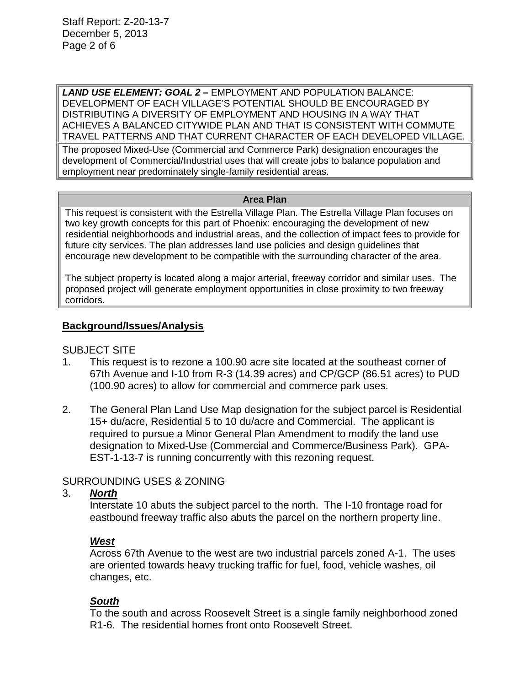*LAND USE ELEMENT: GOAL 2 –* EMPLOYMENT AND POPULATION BALANCE: DEVELOPMENT OF EACH VILLAGE'S POTENTIAL SHOULD BE ENCOURAGED BY DISTRIBUTING A DIVERSITY OF EMPLOYMENT AND HOUSING IN A WAY THAT ACHIEVES A BALANCED CITYWIDE PLAN AND THAT IS CONSISTENT WITH COMMUTE TRAVEL PATTERNS AND THAT CURRENT CHARACTER OF EACH DEVELOPED VILLAGE.

The proposed Mixed-Use (Commercial and Commerce Park) designation encourages the development of Commercial/Industrial uses that will create jobs to balance population and employment near predominately single-family residential areas.

#### **Area Plan**

This request is consistent with the Estrella Village Plan. The Estrella Village Plan focuses on two key growth concepts for this part of Phoenix: encouraging the development of new residential neighborhoods and industrial areas, and the collection of impact fees to provide for future city services. The plan addresses land use policies and design guidelines that encourage new development to be compatible with the surrounding character of the area.

The subject property is located along a major arterial, freeway corridor and similar uses. The proposed project will generate employment opportunities in close proximity to two freeway corridors.

#### **Background/Issues/Analysis**

#### SUBJECT SITE

- 1. This request is to rezone a 100.90 acre site located at the southeast corner of 67th Avenue and I-10 from R-3 (14.39 acres) and CP/GCP (86.51 acres) to PUD (100.90 acres) to allow for commercial and commerce park uses.
- 2. The General Plan Land Use Map designation for the subject parcel is Residential 15+ du/acre, Residential 5 to 10 du/acre and Commercial. The applicant is required to pursue a Minor General Plan Amendment to modify the land use designation to Mixed-Use (Commercial and Commerce/Business Park). GPA-EST-1-13-7 is running concurrently with this rezoning request.

#### SURROUNDING USES & ZONING

#### 3. *North*

Interstate 10 abuts the subject parcel to the north. The I-10 frontage road for eastbound freeway traffic also abuts the parcel on the northern property line.

#### *West*

Across 67th Avenue to the west are two industrial parcels zoned A-1. The uses are oriented towards heavy trucking traffic for fuel, food, vehicle washes, oil changes, etc.

#### *South*

To the south and across Roosevelt Street is a single family neighborhood zoned R1-6. The residential homes front onto Roosevelt Street.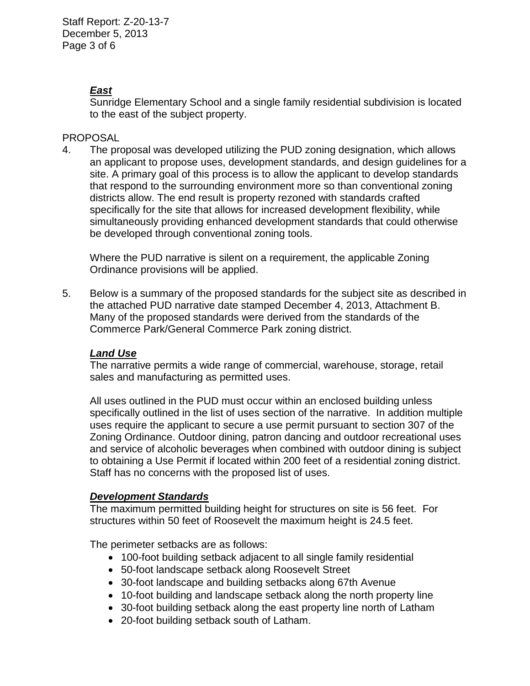Staff Report: Z-20-13-7 December 5, 2013 Page 3 of 6

## *East*

Sunridge Elementary School and a single family residential subdivision is located to the east of the subject property.

#### PROPOSAL

4. The proposal was developed utilizing the PUD zoning designation, which allows an applicant to propose uses, development standards, and design guidelines for a site. A primary goal of this process is to allow the applicant to develop standards that respond to the surrounding environment more so than conventional zoning districts allow. The end result is property rezoned with standards crafted specifically for the site that allows for increased development flexibility, while simultaneously providing enhanced development standards that could otherwise be developed through conventional zoning tools.

Where the PUD narrative is silent on a requirement, the applicable Zoning Ordinance provisions will be applied.

5. Below is a summary of the proposed standards for the subject site as described in the attached PUD narrative date stamped December 4, 2013, Attachment B. Many of the proposed standards were derived from the standards of the Commerce Park/General Commerce Park zoning district.

#### *Land Use*

The narrative permits a wide range of commercial, warehouse, storage, retail sales and manufacturing as permitted uses.

All uses outlined in the PUD must occur within an enclosed building unless specifically outlined in the list of uses section of the narrative. In addition multiple uses require the applicant to secure a use permit pursuant to section 307 of the Zoning Ordinance. Outdoor dining, patron dancing and outdoor recreational uses and service of alcoholic beverages when combined with outdoor dining is subject to obtaining a Use Permit if located within 200 feet of a residential zoning district. Staff has no concerns with the proposed list of uses.

#### *Development Standards*

The maximum permitted building height for structures on site is 56 feet. For structures within 50 feet of Roosevelt the maximum height is 24.5 feet.

The perimeter setbacks are as follows:

- 100-foot building setback adjacent to all single family residential
- 50-foot landscape setback along Roosevelt Street
- 30-foot landscape and building setbacks along 67th Avenue
- 10-foot building and landscape setback along the north property line
- 30-foot building setback along the east property line north of Latham
- 20-foot building setback south of Latham.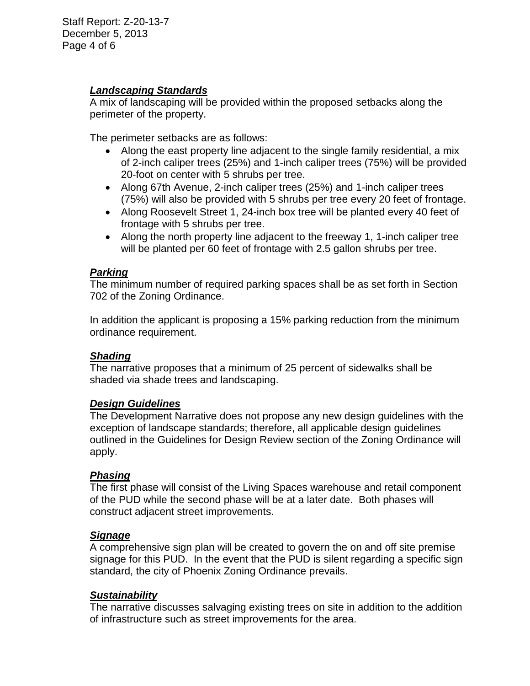Staff Report: Z-20-13-7 December 5, 2013 Page 4 of 6

### *Landscaping Standards*

A mix of landscaping will be provided within the proposed setbacks along the perimeter of the property.

The perimeter setbacks are as follows:

- Along the east property line adjacent to the single family residential, a mix of 2-inch caliper trees (25%) and 1-inch caliper trees (75%) will be provided 20-foot on center with 5 shrubs per tree.
- Along 67th Avenue, 2-inch caliper trees (25%) and 1-inch caliper trees (75%) will also be provided with 5 shrubs per tree every 20 feet of frontage.
- Along Roosevelt Street 1, 24-inch box tree will be planted every 40 feet of frontage with 5 shrubs per tree.
- Along the north property line adjacent to the freeway 1, 1-inch caliper tree will be planted per 60 feet of frontage with 2.5 gallon shrubs per tree.

#### *Parking*

The minimum number of required parking spaces shall be as set forth in Section 702 of the Zoning Ordinance.

In addition the applicant is proposing a 15% parking reduction from the minimum ordinance requirement.

#### *Shading*

The narrative proposes that a minimum of 25 percent of sidewalks shall be shaded via shade trees and landscaping.

#### *Design Guidelines*

The Development Narrative does not propose any new design guidelines with the exception of landscape standards; therefore, all applicable design guidelines outlined in the Guidelines for Design Review section of the Zoning Ordinance will apply.

#### *Phasing*

The first phase will consist of the Living Spaces warehouse and retail component of the PUD while the second phase will be at a later date. Both phases will construct adjacent street improvements.

#### *Signage*

A comprehensive sign plan will be created to govern the on and off site premise signage for this PUD. In the event that the PUD is silent regarding a specific sign standard, the city of Phoenix Zoning Ordinance prevails.

## *Sustainability*

The narrative discusses salvaging existing trees on site in addition to the addition of infrastructure such as street improvements for the area.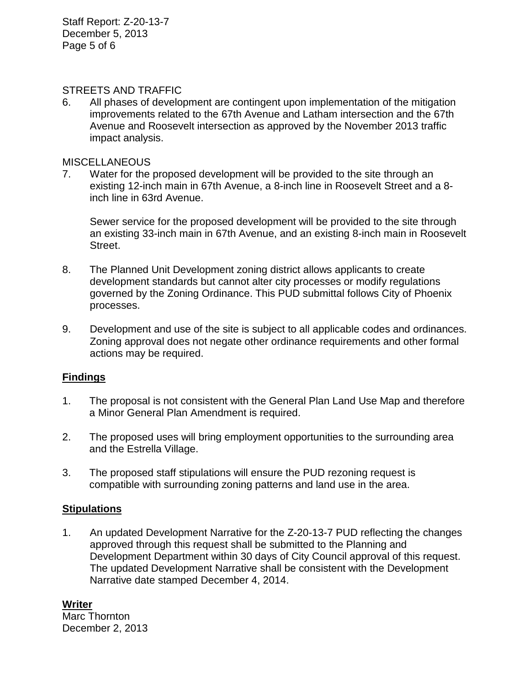Staff Report: Z-20-13-7 December 5, 2013 Page 5 of 6

#### STREETS AND TRAFFIC

6. All phases of development are contingent upon implementation of the mitigation improvements related to the 67th Avenue and Latham intersection and the 67th Avenue and Roosevelt intersection as approved by the November 2013 traffic impact analysis.

#### MISCELLANEOUS

7. Water for the proposed development will be provided to the site through an existing 12-inch main in 67th Avenue, a 8-inch line in Roosevelt Street and a 8 inch line in 63rd Avenue.

Sewer service for the proposed development will be provided to the site through an existing 33-inch main in 67th Avenue, and an existing 8-inch main in Roosevelt Street.

- 8. The Planned Unit Development zoning district allows applicants to create development standards but cannot alter city processes or modify regulations governed by the Zoning Ordinance. This PUD submittal follows City of Phoenix processes.
- 9. Development and use of the site is subject to all applicable codes and ordinances. Zoning approval does not negate other ordinance requirements and other formal actions may be required.

#### **Findings**

- 1. The proposal is not consistent with the General Plan Land Use Map and therefore a Minor General Plan Amendment is required.
- 2. The proposed uses will bring employment opportunities to the surrounding area and the Estrella Village.
- 3. The proposed staff stipulations will ensure the PUD rezoning request is compatible with surrounding zoning patterns and land use in the area.

#### **Stipulations**

1. An updated Development Narrative for the Z-20-13-7 PUD reflecting the changes approved through this request shall be submitted to the Planning and Development Department within 30 days of City Council approval of this request. The updated Development Narrative shall be consistent with the Development Narrative date stamped December 4, 2014.

**Writer** Marc Thornton December 2, 2013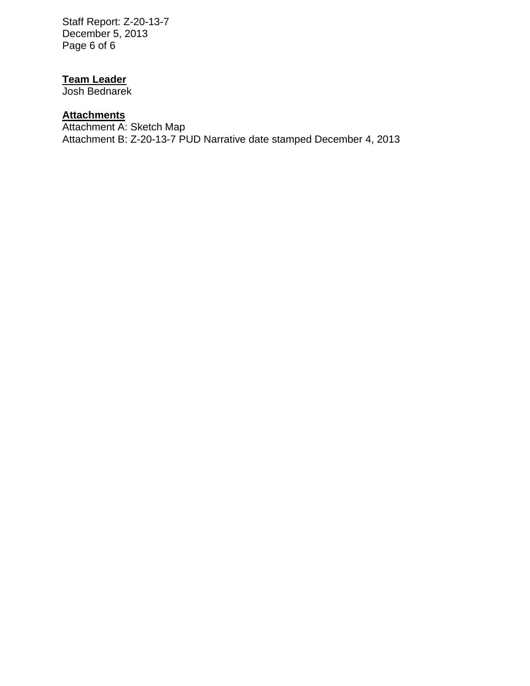Staff Report: Z-20-13-7 December 5, 2013 Page 6 of 6

# **Team Leader**

Josh Bednarek

# **Attachments**

Attachment A: Sketch Map Attachment B: Z-20-13-7 PUD Narrative date stamped December 4, 2013